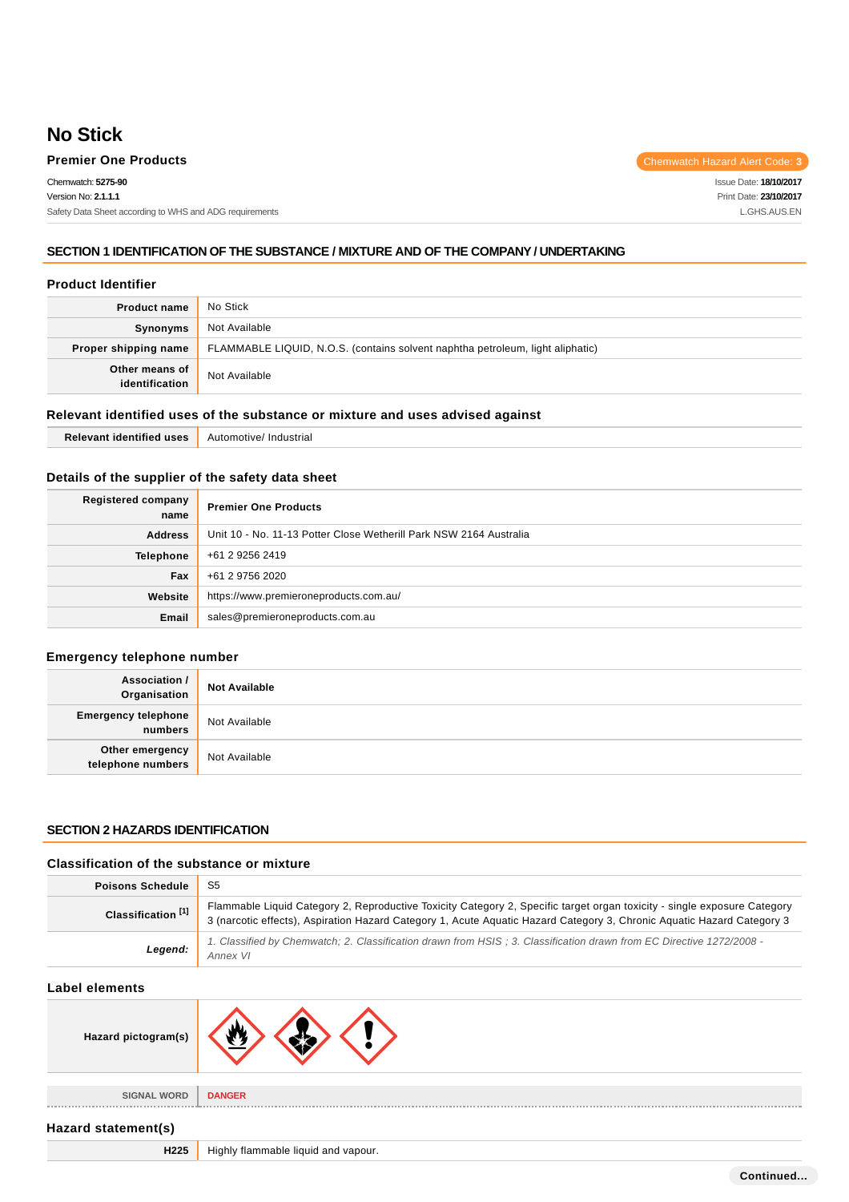# **No Stick**

# **Premier One Products**

| Premier One Products                                    | . Chemwatch Hazard Alert Code: 3 |
|---------------------------------------------------------|----------------------------------|
| Chemwatch: 5275-90                                      | Issue Date: <b>18/10/2017</b>    |
| Version No: <b>2.1.1.1</b>                              | Print Date: 23/10/2017           |
| Safety Data Sheet according to WHS and ADG requirements | L.GHS.AUS.EN                     |
|                                                         |                                  |

# **SECTION 1 IDENTIFICATION OF THE SUBSTANCE / MIXTURE AND OF THE COMPANY / UNDERTAKING**

## **Product Identifier**

| <b>Product name</b>              | No Stick                                                                       |
|----------------------------------|--------------------------------------------------------------------------------|
| Synonyms                         | Not Available                                                                  |
| Proper shipping name             | FLAMMABLE LIQUID, N.O.S. (contains solvent naphtha petroleum, light aliphatic) |
| Other means of<br>identification | Not Available                                                                  |

# **Relevant identified uses of the substance or mixture and uses advised against**

| <b>Relevant identified uses</b><br>Automotive/ Industrial |
|-----------------------------------------------------------|
|-----------------------------------------------------------|

# **Details of the supplier of the safety data sheet**

| Registered company<br>name | <b>Premier One Products</b>                                        |
|----------------------------|--------------------------------------------------------------------|
| <b>Address</b>             | Unit 10 - No. 11-13 Potter Close Wetherill Park NSW 2164 Australia |
| <b>Telephone</b>           | +61 2 9256 2419                                                    |
| Fax                        | +61 2 9756 2020                                                    |
| Website                    | https://www.premieroneproducts.com.au/                             |
| Email                      | sales@premieroneproducts.com.au                                    |

## **Emergency telephone number**

| <b>Association /</b><br>Organisation  | <b>Not Available</b> |
|---------------------------------------|----------------------|
| <b>Emergency telephone</b><br>numbers | Not Available        |
| Other emergency<br>telephone numbers  | Not Available        |

## **SECTION 2 HAZARDS IDENTIFICATION**

## **Classification of the substance or mixture**

| <b>Poisons Schedule</b>       | -S5                                                                                                                                                                                                                                                |
|-------------------------------|----------------------------------------------------------------------------------------------------------------------------------------------------------------------------------------------------------------------------------------------------|
| Classification <sup>[1]</sup> | Flammable Liquid Category 2, Reproductive Toxicity Category 2, Specific target organ toxicity - single exposure Category<br>3 (narcotic effects), Aspiration Hazard Category 1, Acute Aguatic Hazard Category 3, Chronic Aguatic Hazard Category 3 |
| Legend:                       | 1. Classified by Chemwatch; 2. Classification drawn from HSIS; 3. Classification drawn from EC Directive 1272/2008 -<br>Annex VI                                                                                                                   |
| ahel elements                 |                                                                                                                                                                                                                                                    |

#### **Label elements**

| Hazard pictogram(s) | U.                                  |
|---------------------|-------------------------------------|
| <b>SIGNAL WORD</b>  | <b>DANGER</b>                       |
| Hazard statement(s) |                                     |
| H225                | Highly flammable liquid and vapour. |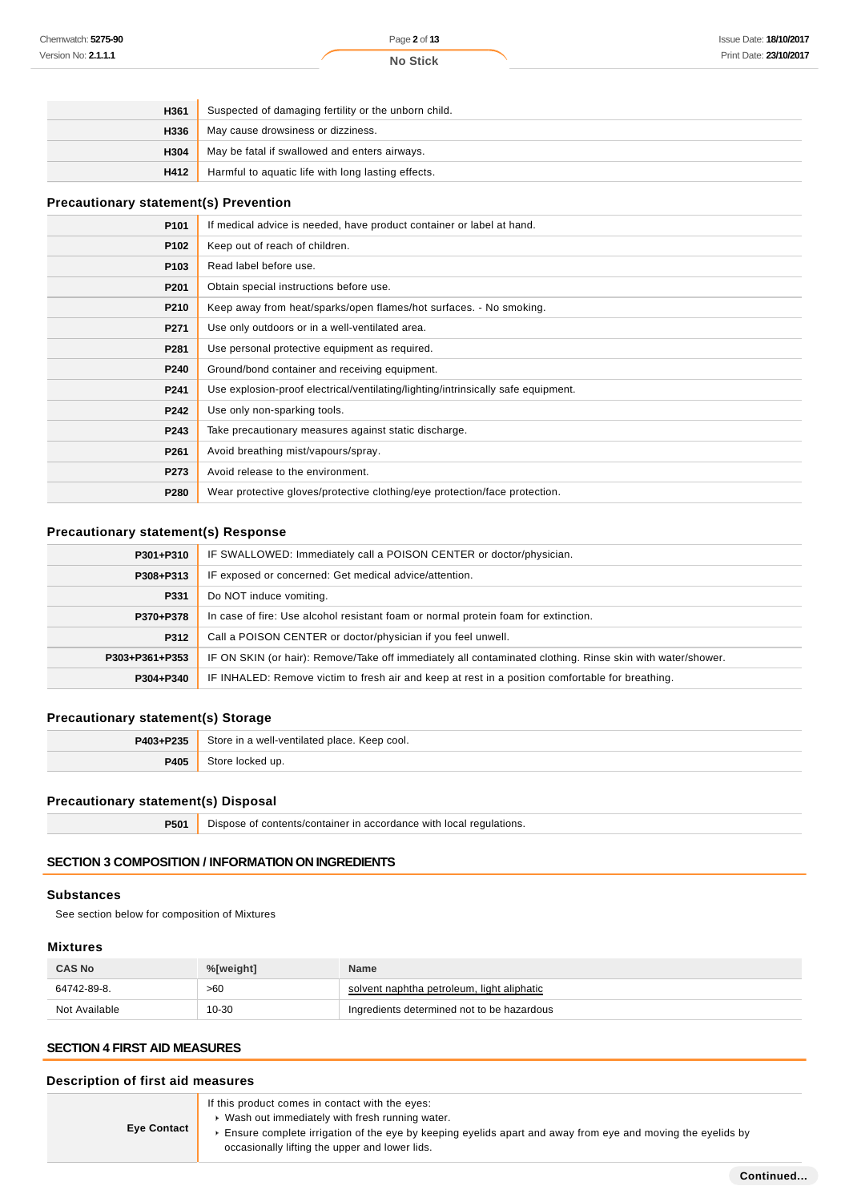| H361 | Suspected of damaging fertility or the unborn child. |
|------|------------------------------------------------------|
| H336 | May cause drowsiness or dizziness.                   |
| H304 | May be fatal if swallowed and enters airways.        |
| H412 | Harmful to aquatic life with long lasting effects.   |

## **Precautionary statement(s) Prevention**

| If medical advice is needed, have product container or label at hand.             |
|-----------------------------------------------------------------------------------|
| Keep out of reach of children.                                                    |
| Read label before use.                                                            |
| Obtain special instructions before use.                                           |
| Keep away from heat/sparks/open flames/hot surfaces. - No smoking.                |
| Use only outdoors or in a well-ventilated area.                                   |
| Use personal protective equipment as required.                                    |
| Ground/bond container and receiving equipment.                                    |
| Use explosion-proof electrical/ventilating/lighting/intrinsically safe equipment. |
| Use only non-sparking tools.                                                      |
| Take precautionary measures against static discharge.                             |
| Avoid breathing mist/vapours/spray.                                               |
| Avoid release to the environment.                                                 |
| Wear protective gloves/protective clothing/eye protection/face protection.        |
|                                                                                   |

# **Precautionary statement(s) Response**

| P301+P310      | IF SWALLOWED: Immediately call a POISON CENTER or doctor/physician.                                        |
|----------------|------------------------------------------------------------------------------------------------------------|
| P308+P313      | IF exposed or concerned: Get medical advice/attention.                                                     |
| P331           | Do NOT induce vomiting.                                                                                    |
| P370+P378      | In case of fire: Use alcohol resistant foam or normal protein foam for extinction.                         |
| P312           | Call a POISON CENTER or doctor/physician if you feel unwell.                                               |
| P303+P361+P353 | IF ON SKIN (or hair): Remove/Take off immediately all contaminated clothing. Rinse skin with water/shower. |
| P304+P340      | IF INHALED: Remove victim to fresh air and keep at rest in a position comfortable for breathing.           |

# **Precautionary statement(s) Storage**

| P403+P235 | Store in a well-ventilated place. Keep cool. |
|-----------|----------------------------------------------|
| P405      | Store<br>`locked up.                         |

## **Precautionary statement(s) Disposal**

|  | <b>P501</b> Dispose of contents/container in accordance with local regulations. |
|--|---------------------------------------------------------------------------------|
|--|---------------------------------------------------------------------------------|

## **SECTION 3 COMPOSITION / INFORMATION ON INGREDIENTS**

#### **Substances**

See section below for composition of Mixtures

## **Mixtures**

| <b>CAS No</b> | %[weight] | <b>Name</b>                                |  |  |
|---------------|-----------|--------------------------------------------|--|--|
| 64742-89-8.   | >60       | solvent naphtha petroleum, light aliphatic |  |  |
| Not Available | 10-30     | Ingredients determined not to be hazardous |  |  |

## **SECTION 4 FIRST AID MEASURES**

#### **Description of first aid measures**

| <b>Eye Contact</b> | If this product comes in contact with the eyes:<br>Wash out immediately with fresh running water.<br>Ensure complete irrigation of the eye by keeping eyelids apart and away from eye and moving the eyelids by<br>occasionally lifting the upper and lower lids. |
|--------------------|-------------------------------------------------------------------------------------------------------------------------------------------------------------------------------------------------------------------------------------------------------------------|
|--------------------|-------------------------------------------------------------------------------------------------------------------------------------------------------------------------------------------------------------------------------------------------------------------|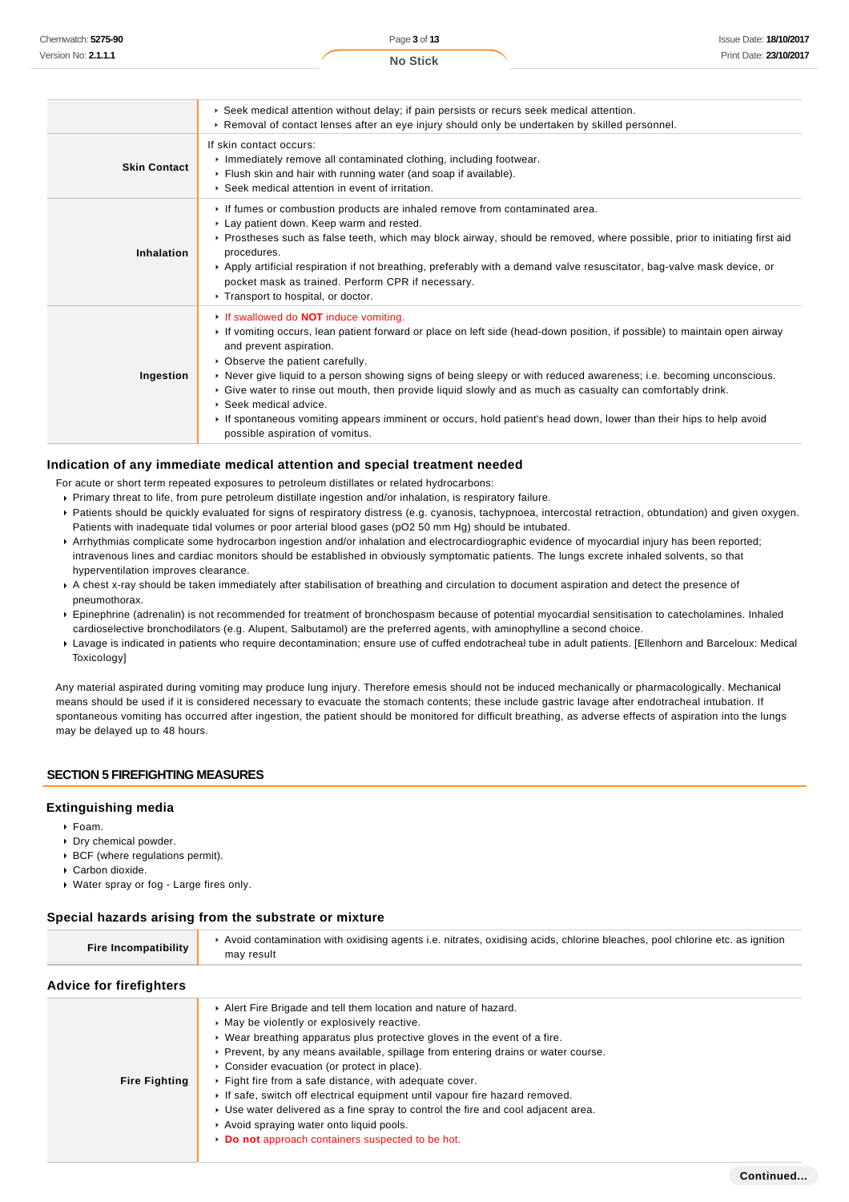Page **3** of **13 No Stick**

|                     | ► Seek medical attention without delay; if pain persists or recurs seek medical attention.                                                                                                                                                                                                                                                                                                                                                                                                                                                                                                                                                                                   |
|---------------------|------------------------------------------------------------------------------------------------------------------------------------------------------------------------------------------------------------------------------------------------------------------------------------------------------------------------------------------------------------------------------------------------------------------------------------------------------------------------------------------------------------------------------------------------------------------------------------------------------------------------------------------------------------------------------|
|                     | ▶ Removal of contact lenses after an eye injury should only be undertaken by skilled personnel.                                                                                                                                                                                                                                                                                                                                                                                                                                                                                                                                                                              |
| <b>Skin Contact</b> | If skin contact occurs:<br>Inmediately remove all contaminated clothing, including footwear.<br>Flush skin and hair with running water (and soap if available).<br>▶ Seek medical attention in event of irritation.                                                                                                                                                                                                                                                                                                                                                                                                                                                          |
| Inhalation          | If fumes or combustion products are inhaled remove from contaminated area.<br>Lay patient down. Keep warm and rested.<br>► Prostheses such as false teeth, which may block airway, should be removed, where possible, prior to initiating first aid<br>procedures.<br>► Apply artificial respiration if not breathing, preferably with a demand valve resuscitator, bag-valve mask device, or<br>pocket mask as trained. Perform CPR if necessary.<br>Transport to hospital, or doctor.                                                                                                                                                                                      |
| Ingestion           | If swallowed do <b>NOT</b> induce vomiting.<br>If vomiting occurs, lean patient forward or place on left side (head-down position, if possible) to maintain open airway<br>and prevent aspiration.<br>$\triangleright$ Observe the patient carefully.<br>► Never give liquid to a person showing signs of being sleepy or with reduced awareness; i.e. becoming unconscious.<br>► Give water to rinse out mouth, then provide liquid slowly and as much as casualty can comfortably drink.<br>▶ Seek medical advice.<br>If spontaneous vomiting appears imminent or occurs, hold patient's head down, lower than their hips to help avoid<br>possible aspiration of vomitus. |

## **Indication of any immediate medical attention and special treatment needed**

For acute or short term repeated exposures to petroleum distillates or related hydrocarbons:

- Primary threat to life, from pure petroleum distillate ingestion and/or inhalation, is respiratory failure.
- Patients should be quickly evaluated for signs of respiratory distress (e.g. cyanosis, tachypnoea, intercostal retraction, obtundation) and given oxygen. Patients with inadequate tidal volumes or poor arterial blood gases (pO2 50 mm Hg) should be intubated.
- Arrhythmias complicate some hydrocarbon ingestion and/or inhalation and electrocardiographic evidence of myocardial injury has been reported; intravenous lines and cardiac monitors should be established in obviously symptomatic patients. The lungs excrete inhaled solvents, so that hyperventilation improves clearance.
- A chest x-ray should be taken immediately after stabilisation of breathing and circulation to document aspiration and detect the presence of pneumothorax.
- Epinephrine (adrenalin) is not recommended for treatment of bronchospasm because of potential myocardial sensitisation to catecholamines. Inhaled cardioselective bronchodilators (e.g. Alupent, Salbutamol) are the preferred agents, with aminophylline a second choice.
- Lavage is indicated in patients who require decontamination; ensure use of cuffed endotracheal tube in adult patients. [Ellenhorn and Barceloux: Medical **Toxicology**

Any material aspirated during vomiting may produce lung injury. Therefore emesis should not be induced mechanically or pharmacologically. Mechanical means should be used if it is considered necessary to evacuate the stomach contents; these include gastric lavage after endotracheal intubation. If spontaneous vomiting has occurred after ingestion, the patient should be monitored for difficult breathing, as adverse effects of aspiration into the lungs may be delayed up to 48 hours.

# **SECTION 5 FIREFIGHTING MEASURES**

#### **Extinguishing media**

- Foam.
- Dry chemical powder.
- BCF (where regulations permit).
- Carbon dioxide.
- Water spray or fog Large fires only.

#### **Special hazards arising from the substrate or mixture**

| <b>Fire Incompatibility</b> | ▶ Avoid contamination with oxidising agents i.e. nitrates, oxidising acids, chlorine bleaches, pool chlorine etc. as ignition<br>may result |
|-----------------------------|---------------------------------------------------------------------------------------------------------------------------------------------|
|                             |                                                                                                                                             |

## **Advice for firefighters**

| <b>AUTIOUT IN THE INTERNATION</b> |                                                                                                                                                                                                                                                                                                                                                                                                                                                                                                                                                                                                                                                            |
|-----------------------------------|------------------------------------------------------------------------------------------------------------------------------------------------------------------------------------------------------------------------------------------------------------------------------------------------------------------------------------------------------------------------------------------------------------------------------------------------------------------------------------------------------------------------------------------------------------------------------------------------------------------------------------------------------------|
| <b>Fire Fighting</b>              | Alert Fire Brigade and tell them location and nature of hazard.<br>• May be violently or explosively reactive.<br>► Wear breathing apparatus plus protective gloves in the event of a fire.<br>► Prevent, by any means available, spillage from entering drains or water course.<br>• Consider evacuation (or protect in place).<br>Fight fire from a safe distance, with adequate cover.<br>If safe, switch off electrical equipment until vapour fire hazard removed.<br>► Use water delivered as a fine spray to control the fire and cool adjacent area.<br>Avoid spraying water onto liquid pools.<br>Do not approach containers suspected to be hot. |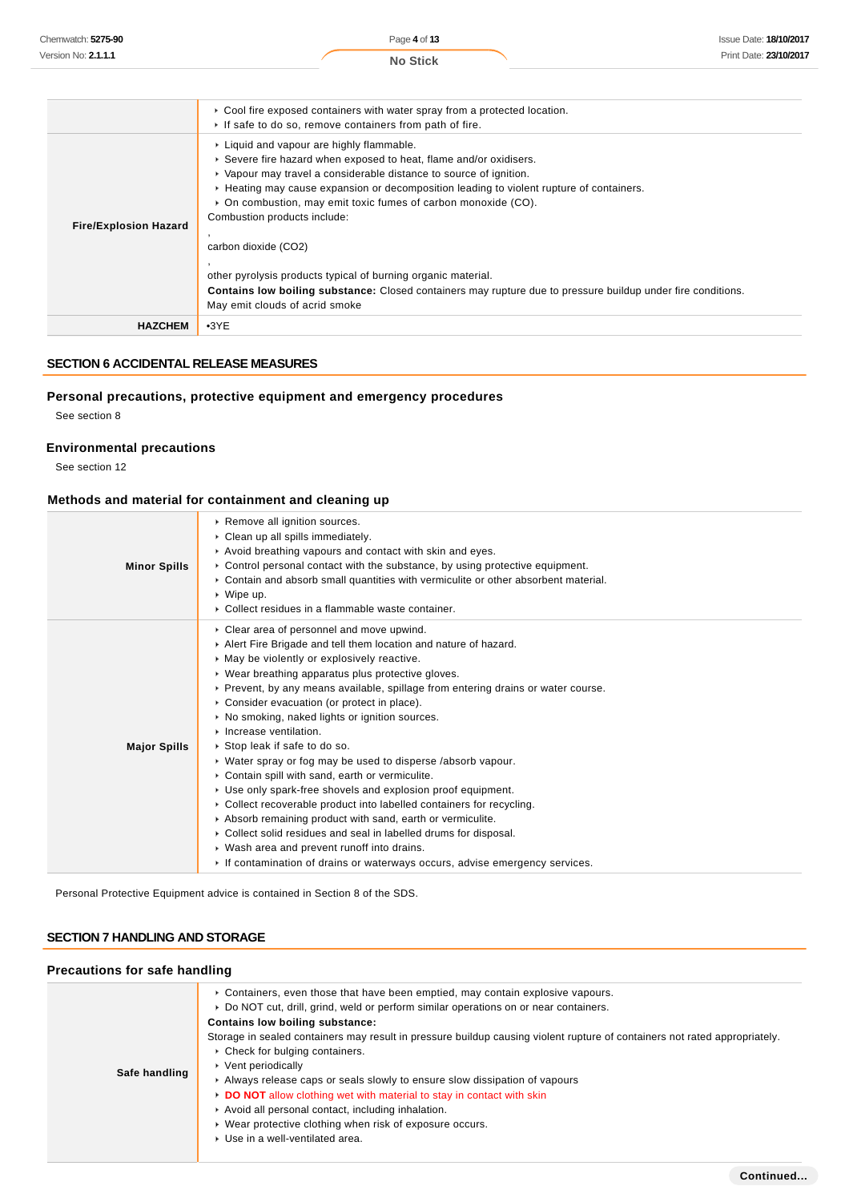| Chemwatch: 5275-90<br>Version No: 2.1.1.1 | Page 4 of 13<br><b>No Stick</b>                                                                                                                                                                                                                                                                                                                                                                                                                                                                                                                                                                                                     | <b>Issue Date: 18/10/2017</b><br>Print Date: 23/10/2017 |
|-------------------------------------------|-------------------------------------------------------------------------------------------------------------------------------------------------------------------------------------------------------------------------------------------------------------------------------------------------------------------------------------------------------------------------------------------------------------------------------------------------------------------------------------------------------------------------------------------------------------------------------------------------------------------------------------|---------------------------------------------------------|
|                                           | ► Cool fire exposed containers with water spray from a protected location.<br>If safe to do so, remove containers from path of fire.                                                                                                                                                                                                                                                                                                                                                                                                                                                                                                |                                                         |
| <b>Fire/Explosion Hazard</b>              | Liquid and vapour are highly flammable.<br>▶ Severe fire hazard when exposed to heat, flame and/or oxidisers.<br>• Vapour may travel a considerable distance to source of ignition.<br>► Heating may cause expansion or decomposition leading to violent rupture of containers.<br>• On combustion, may emit toxic fumes of carbon monoxide (CO).<br>Combustion products include:<br>carbon dioxide (CO2)<br>other pyrolysis products typical of burning organic material.<br><b>Contains low boiling substance:</b> Closed containers may rupture due to pressure buildup under fire conditions.<br>May emit clouds of acrid smoke |                                                         |

## **SECTION 6 ACCIDENTAL RELEASE MEASURES**

**HAZCHEM** •3YE

## **Personal precautions, protective equipment and emergency procedures** See section 8

# **Environmental precautions**

See section 12

# **Methods and material for containment and cleaning up**

| <b>Minor Spills</b> | Remove all ignition sources.<br>• Clean up all spills immediately.<br>Avoid breathing vapours and contact with skin and eyes.<br>$\triangleright$ Control personal contact with the substance, by using protective equipment.<br>► Contain and absorb small quantities with vermiculite or other absorbent material.<br>$\triangleright$ Wipe up.<br>• Collect residues in a flammable waste container.                                                                                                                                                                                                                                                                                                                                                                                                                                                                                                                                                                                                       |
|---------------------|---------------------------------------------------------------------------------------------------------------------------------------------------------------------------------------------------------------------------------------------------------------------------------------------------------------------------------------------------------------------------------------------------------------------------------------------------------------------------------------------------------------------------------------------------------------------------------------------------------------------------------------------------------------------------------------------------------------------------------------------------------------------------------------------------------------------------------------------------------------------------------------------------------------------------------------------------------------------------------------------------------------|
| <b>Major Spills</b> | Clear area of personnel and move upwind.<br>Alert Fire Brigade and tell them location and nature of hazard.<br>• May be violently or explosively reactive.<br>• Wear breathing apparatus plus protective gloves.<br>► Prevent, by any means available, spillage from entering drains or water course.<br>• Consider evacuation (or protect in place).<br>▶ No smoking, naked lights or ignition sources.<br>$\triangleright$ Increase ventilation.<br>▶ Stop leak if safe to do so.<br>• Water spray or fog may be used to disperse /absorb vapour.<br>Contain spill with sand, earth or vermiculite.<br>▶ Use only spark-free shovels and explosion proof equipment.<br>• Collect recoverable product into labelled containers for recycling.<br>Absorb remaining product with sand, earth or vermiculite.<br>• Collect solid residues and seal in labelled drums for disposal.<br>▶ Wash area and prevent runoff into drains.<br>If contamination of drains or waterways occurs, advise emergency services. |

Personal Protective Equipment advice is contained in Section 8 of the SDS.

## **SECTION 7 HANDLING AND STORAGE**

## **Precautions for safe handling**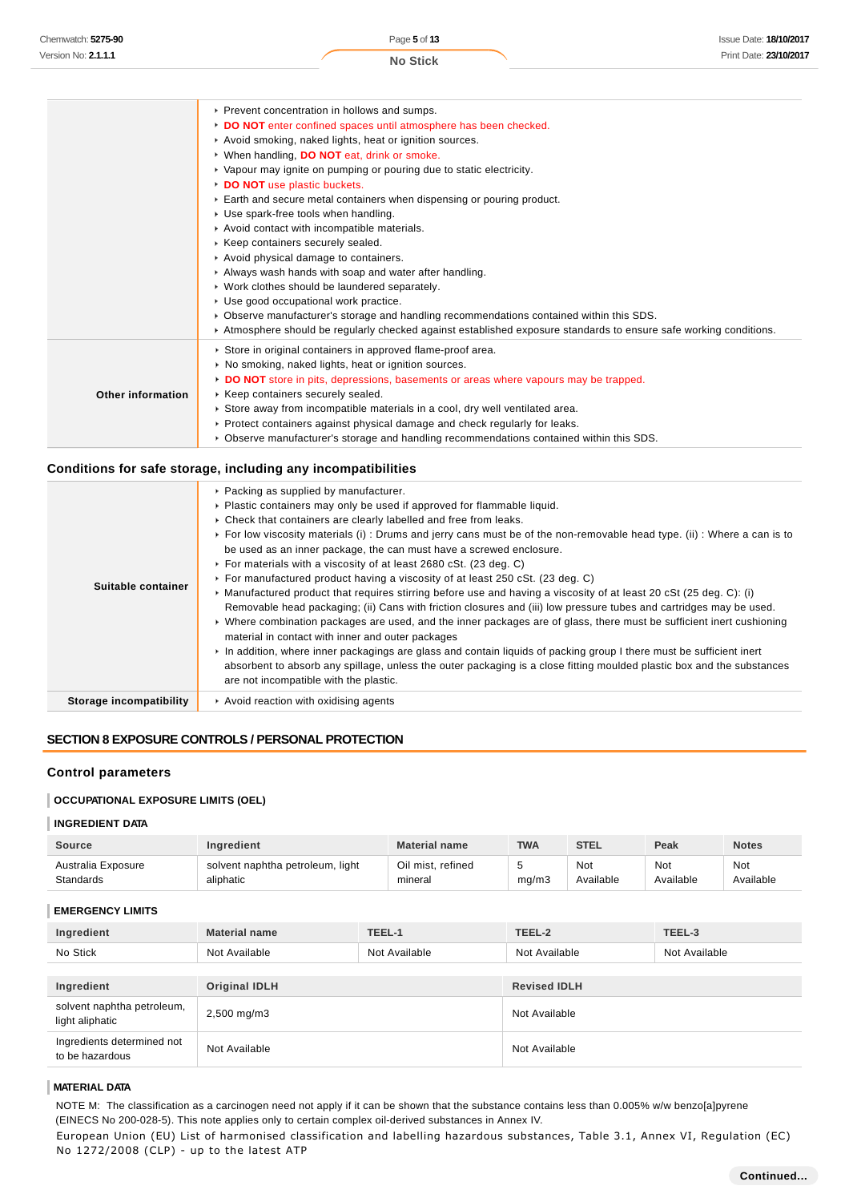|                   | ▶ Prevent concentration in hollows and sumps.                                                                    |  |  |  |  |  |
|-------------------|------------------------------------------------------------------------------------------------------------------|--|--|--|--|--|
|                   | DO NOT enter confined spaces until atmosphere has been checked.                                                  |  |  |  |  |  |
|                   | Avoid smoking, naked lights, heat or ignition sources.                                                           |  |  |  |  |  |
|                   | ▶ When handling, DO NOT eat, drink or smoke.                                                                     |  |  |  |  |  |
|                   | • Vapour may ignite on pumping or pouring due to static electricity.                                             |  |  |  |  |  |
|                   | DO NOT use plastic buckets.                                                                                      |  |  |  |  |  |
|                   | Earth and secure metal containers when dispensing or pouring product.                                            |  |  |  |  |  |
|                   | Use spark-free tools when handling.                                                                              |  |  |  |  |  |
|                   | Avoid contact with incompatible materials.                                                                       |  |  |  |  |  |
|                   | ▶ Keep containers securely sealed.                                                                               |  |  |  |  |  |
|                   | Avoid physical damage to containers.                                                                             |  |  |  |  |  |
|                   | Always wash hands with soap and water after handling.                                                            |  |  |  |  |  |
|                   | ▶ Work clothes should be laundered separately.                                                                   |  |  |  |  |  |
|                   | Use good occupational work practice.                                                                             |  |  |  |  |  |
|                   | ► Observe manufacturer's storage and handling recommendations contained within this SDS.                         |  |  |  |  |  |
|                   | Atmosphere should be regularly checked against established exposure standards to ensure safe working conditions. |  |  |  |  |  |
|                   | Store in original containers in approved flame-proof area.                                                       |  |  |  |  |  |
|                   | ▶ No smoking, naked lights, heat or ignition sources.                                                            |  |  |  |  |  |
|                   | DO NOT store in pits, depressions, basements or areas where vapours may be trapped.                              |  |  |  |  |  |
| Other information | ▶ Keep containers securely sealed.                                                                               |  |  |  |  |  |
|                   | Store away from incompatible materials in a cool, dry well ventilated area.                                      |  |  |  |  |  |
|                   | ► Protect containers against physical damage and check regularly for leaks.                                      |  |  |  |  |  |
|                   | ► Observe manufacturer's storage and handling recommendations contained within this SDS.                         |  |  |  |  |  |

#### **Conditions for safe storage, including any incompatibilities**

| Suitable container      | ▶ Packing as supplied by manufacturer.<br>▶ Plastic containers may only be used if approved for flammable liquid.<br>• Check that containers are clearly labelled and free from leaks.<br>► For low viscosity materials (i) : Drums and jerry cans must be of the non-removable head type. (ii) : Where a can is to<br>be used as an inner package, the can must have a screwed enclosure.<br>For materials with a viscosity of at least 2680 cSt. (23 deg. C)<br>For manufactured product having a viscosity of at least 250 cSt. (23 deg. C)<br>▶ Manufactured product that requires stirring before use and having a viscosity of at least 20 cSt (25 deg. C): (i)<br>Removable head packaging; (ii) Cans with friction closures and (iii) low pressure tubes and cartridges may be used.<br>▶ Where combination packages are used, and the inner packages are of glass, there must be sufficient inert cushioning<br>material in contact with inner and outer packages<br>In addition, where inner packagings are glass and contain liquids of packing group I there must be sufficient inert<br>absorbent to absorb any spillage, unless the outer packaging is a close fitting moulded plastic box and the substances<br>are not incompatible with the plastic. |
|-------------------------|-----------------------------------------------------------------------------------------------------------------------------------------------------------------------------------------------------------------------------------------------------------------------------------------------------------------------------------------------------------------------------------------------------------------------------------------------------------------------------------------------------------------------------------------------------------------------------------------------------------------------------------------------------------------------------------------------------------------------------------------------------------------------------------------------------------------------------------------------------------------------------------------------------------------------------------------------------------------------------------------------------------------------------------------------------------------------------------------------------------------------------------------------------------------------------------------------------------------------------------------------------------------------|
| Storage incompatibility | Avoid reaction with oxidising agents                                                                                                                                                                                                                                                                                                                                                                                                                                                                                                                                                                                                                                                                                                                                                                                                                                                                                                                                                                                                                                                                                                                                                                                                                                  |

## **SECTION 8 EXPOSURE CONTROLS / PERSONAL PROTECTION**

## **Control parameters**

#### **OCCUPATIONAL EXPOSURE LIMITS (OEL)**

## **INGREDIENT DATA**

| <b>Source</b>                                 | Ingredient                                    | <b>Material name</b>         | <b>TWA</b>    | <b>STEL</b>             | Peak             | <b>Notes</b>            |  |
|-----------------------------------------------|-----------------------------------------------|------------------------------|---------------|-------------------------|------------------|-------------------------|--|
| Australia Exposure<br><b>Standards</b>        | solvent naphtha petroleum, light<br>aliphatic | Oil mist, refined<br>mineral | 5<br>mg/m3    | <b>Not</b><br>Available | Not<br>Available | <b>Not</b><br>Available |  |
| <b>EMERGENCY LIMITS</b>                       |                                               |                              |               |                         |                  |                         |  |
| Ingredient                                    | <b>Material name</b>                          | TEEL-1                       | TEEL-2        |                         |                  | TEEL-3                  |  |
| No Stick                                      | Not Available<br>Not Available                |                              |               | Not Available           |                  | Not Available           |  |
|                                               |                                               |                              |               |                         |                  |                         |  |
| Ingredient                                    | <b>Original IDLH</b>                          |                              |               | <b>Revised IDLH</b>     |                  |                         |  |
| solvent naphtha petroleum,<br>light aliphatic | 2,500 mg/m3                                   |                              | Not Available |                         |                  |                         |  |

#### **MATERIAL DATA**

Ingredients determined not

NOTE M: The classification as a carcinogen need not apply if it can be shown that the substance contains less than 0.005% w/w benzo[a]pyrene (EINECS No 200-028-5). This note applies only to certain complex oil-derived substances in Annex IV.

to be hazardous<br>to be hazardous

European Union (EU) List of harmonised classification and labelling hazardous substances, Table 3.1, Annex VI, Regulation (EC) No 1272/2008 (CLP) - up to the latest ATP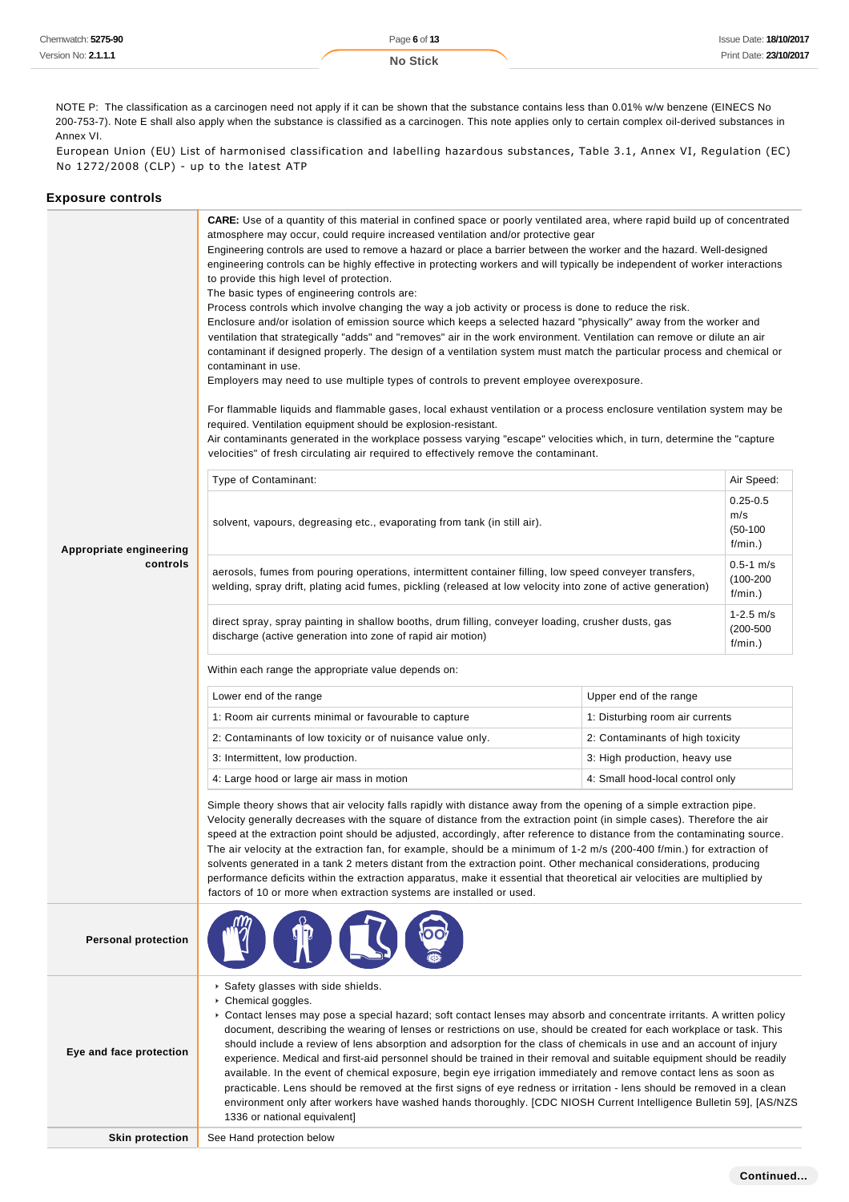| Chemwatch: 5275-90         | Page 6 of 13    | <b>Issue Date: 18/10/2017</b> |
|----------------------------|-----------------|-------------------------------|
| Version No: <b>2.1.1.1</b> | <b>No Stick</b> | Print Date: 23/10/2017        |

NOTE P: The classification as a carcinogen need not apply if it can be shown that the substance contains less than 0.01% w/w benzene (EINECS No 200-753-7). Note E shall also apply when the substance is classified as a carcinogen. This note applies only to certain complex oil-derived substances in Annex VI.

European Union (EU) List of harmonised classification and labelling hazardous substances, Table 3.1, Annex VI, Regulation (EC) No 1272/2008 (CLP) - up to the latest ATP

| <b>Exposure controls</b>   |                                                                                                                                                                                                                                                                                                                                                                                                                                                                                                                                                                                                                                                                                                                                                                                                                                                                                                                                                                                                                                                                                                                                                                                                                                                                                                                                                                                                                                                                                                                                                                                             |  |            |  |  |
|----------------------------|---------------------------------------------------------------------------------------------------------------------------------------------------------------------------------------------------------------------------------------------------------------------------------------------------------------------------------------------------------------------------------------------------------------------------------------------------------------------------------------------------------------------------------------------------------------------------------------------------------------------------------------------------------------------------------------------------------------------------------------------------------------------------------------------------------------------------------------------------------------------------------------------------------------------------------------------------------------------------------------------------------------------------------------------------------------------------------------------------------------------------------------------------------------------------------------------------------------------------------------------------------------------------------------------------------------------------------------------------------------------------------------------------------------------------------------------------------------------------------------------------------------------------------------------------------------------------------------------|--|------------|--|--|
|                            | <b>CARE:</b> Use of a quantity of this material in confined space or poorly ventilated area, where rapid build up of concentrated<br>atmosphere may occur, could require increased ventilation and/or protective gear<br>Engineering controls are used to remove a hazard or place a barrier between the worker and the hazard. Well-designed<br>engineering controls can be highly effective in protecting workers and will typically be independent of worker interactions<br>to provide this high level of protection.<br>The basic types of engineering controls are:<br>Process controls which involve changing the way a job activity or process is done to reduce the risk.<br>Enclosure and/or isolation of emission source which keeps a selected hazard "physically" away from the worker and<br>ventilation that strategically "adds" and "removes" air in the work environment. Ventilation can remove or dilute an air<br>contaminant if designed properly. The design of a ventilation system must match the particular process and chemical or<br>contaminant in use.<br>Employers may need to use multiple types of controls to prevent employee overexposure.<br>For flammable liquids and flammable gases, local exhaust ventilation or a process enclosure ventilation system may be<br>required. Ventilation equipment should be explosion-resistant.<br>Air contaminants generated in the workplace possess varying "escape" velocities which, in turn, determine the "capture<br>velocities" of fresh circulating air required to effectively remove the contaminant. |  |            |  |  |
|                            |                                                                                                                                                                                                                                                                                                                                                                                                                                                                                                                                                                                                                                                                                                                                                                                                                                                                                                                                                                                                                                                                                                                                                                                                                                                                                                                                                                                                                                                                                                                                                                                             |  | Air Speed: |  |  |
| Appropriate engineering    | Type of Contaminant:<br>solvent, vapours, degreasing etc., evaporating from tank (in still air).                                                                                                                                                                                                                                                                                                                                                                                                                                                                                                                                                                                                                                                                                                                                                                                                                                                                                                                                                                                                                                                                                                                                                                                                                                                                                                                                                                                                                                                                                            |  |            |  |  |
| controls                   | aerosols, fumes from pouring operations, intermittent container filling, low speed conveyer transfers,<br>welding, spray drift, plating acid fumes, pickling (released at low velocity into zone of active generation)                                                                                                                                                                                                                                                                                                                                                                                                                                                                                                                                                                                                                                                                                                                                                                                                                                                                                                                                                                                                                                                                                                                                                                                                                                                                                                                                                                      |  |            |  |  |
|                            | direct spray, spray painting in shallow booths, drum filling, conveyer loading, crusher dusts, gas<br>discharge (active generation into zone of rapid air motion)                                                                                                                                                                                                                                                                                                                                                                                                                                                                                                                                                                                                                                                                                                                                                                                                                                                                                                                                                                                                                                                                                                                                                                                                                                                                                                                                                                                                                           |  |            |  |  |
|                            | Within each range the appropriate value depends on:                                                                                                                                                                                                                                                                                                                                                                                                                                                                                                                                                                                                                                                                                                                                                                                                                                                                                                                                                                                                                                                                                                                                                                                                                                                                                                                                                                                                                                                                                                                                         |  |            |  |  |
|                            | Upper end of the range<br>Lower end of the range                                                                                                                                                                                                                                                                                                                                                                                                                                                                                                                                                                                                                                                                                                                                                                                                                                                                                                                                                                                                                                                                                                                                                                                                                                                                                                                                                                                                                                                                                                                                            |  |            |  |  |
|                            | 1: Room air currents minimal or favourable to capture<br>1: Disturbing room air currents                                                                                                                                                                                                                                                                                                                                                                                                                                                                                                                                                                                                                                                                                                                                                                                                                                                                                                                                                                                                                                                                                                                                                                                                                                                                                                                                                                                                                                                                                                    |  |            |  |  |
|                            | 2: Contaminants of low toxicity or of nuisance value only.<br>2: Contaminants of high toxicity                                                                                                                                                                                                                                                                                                                                                                                                                                                                                                                                                                                                                                                                                                                                                                                                                                                                                                                                                                                                                                                                                                                                                                                                                                                                                                                                                                                                                                                                                              |  |            |  |  |
|                            | 3: Intermittent, low production.<br>3: High production, heavy use                                                                                                                                                                                                                                                                                                                                                                                                                                                                                                                                                                                                                                                                                                                                                                                                                                                                                                                                                                                                                                                                                                                                                                                                                                                                                                                                                                                                                                                                                                                           |  |            |  |  |
|                            | 4: Large hood or large air mass in motion<br>4: Small hood-local control only                                                                                                                                                                                                                                                                                                                                                                                                                                                                                                                                                                                                                                                                                                                                                                                                                                                                                                                                                                                                                                                                                                                                                                                                                                                                                                                                                                                                                                                                                                               |  |            |  |  |
|                            | Simple theory shows that air velocity falls rapidly with distance away from the opening of a simple extraction pipe.<br>Velocity generally decreases with the square of distance from the extraction point (in simple cases). Therefore the air<br>speed at the extraction point should be adjusted, accordingly, after reference to distance from the contaminating source.<br>The air velocity at the extraction fan, for example, should be a minimum of 1-2 m/s (200-400 f/min.) for extraction of<br>solvents generated in a tank 2 meters distant from the extraction point. Other mechanical considerations, producing<br>performance deficits within the extraction apparatus, make it essential that theoretical air velocities are multiplied by<br>factors of 10 or more when extraction systems are installed or used.                                                                                                                                                                                                                                                                                                                                                                                                                                                                                                                                                                                                                                                                                                                                                          |  |            |  |  |
| <b>Personal protection</b> |                                                                                                                                                                                                                                                                                                                                                                                                                                                                                                                                                                                                                                                                                                                                                                                                                                                                                                                                                                                                                                                                                                                                                                                                                                                                                                                                                                                                                                                                                                                                                                                             |  |            |  |  |
| Eye and face protection    | Safety glasses with side shields.<br>▶ Chemical goggles.<br>▶ Contact lenses may pose a special hazard; soft contact lenses may absorb and concentrate irritants. A written policy<br>document, describing the wearing of lenses or restrictions on use, should be created for each workplace or task. This<br>should include a review of lens absorption and adsorption for the class of chemicals in use and an account of injury<br>experience. Medical and first-aid personnel should be trained in their removal and suitable equipment should be readily<br>available. In the event of chemical exposure, begin eye irrigation immediately and remove contact lens as soon as<br>practicable. Lens should be removed at the first signs of eye redness or irritation - lens should be removed in a clean<br>environment only after workers have washed hands thoroughly. [CDC NIOSH Current Intelligence Bulletin 59], [AS/NZS<br>1336 or national equivalent]                                                                                                                                                                                                                                                                                                                                                                                                                                                                                                                                                                                                                        |  |            |  |  |
| <b>Skin protection</b>     | See Hand protection below                                                                                                                                                                                                                                                                                                                                                                                                                                                                                                                                                                                                                                                                                                                                                                                                                                                                                                                                                                                                                                                                                                                                                                                                                                                                                                                                                                                                                                                                                                                                                                   |  |            |  |  |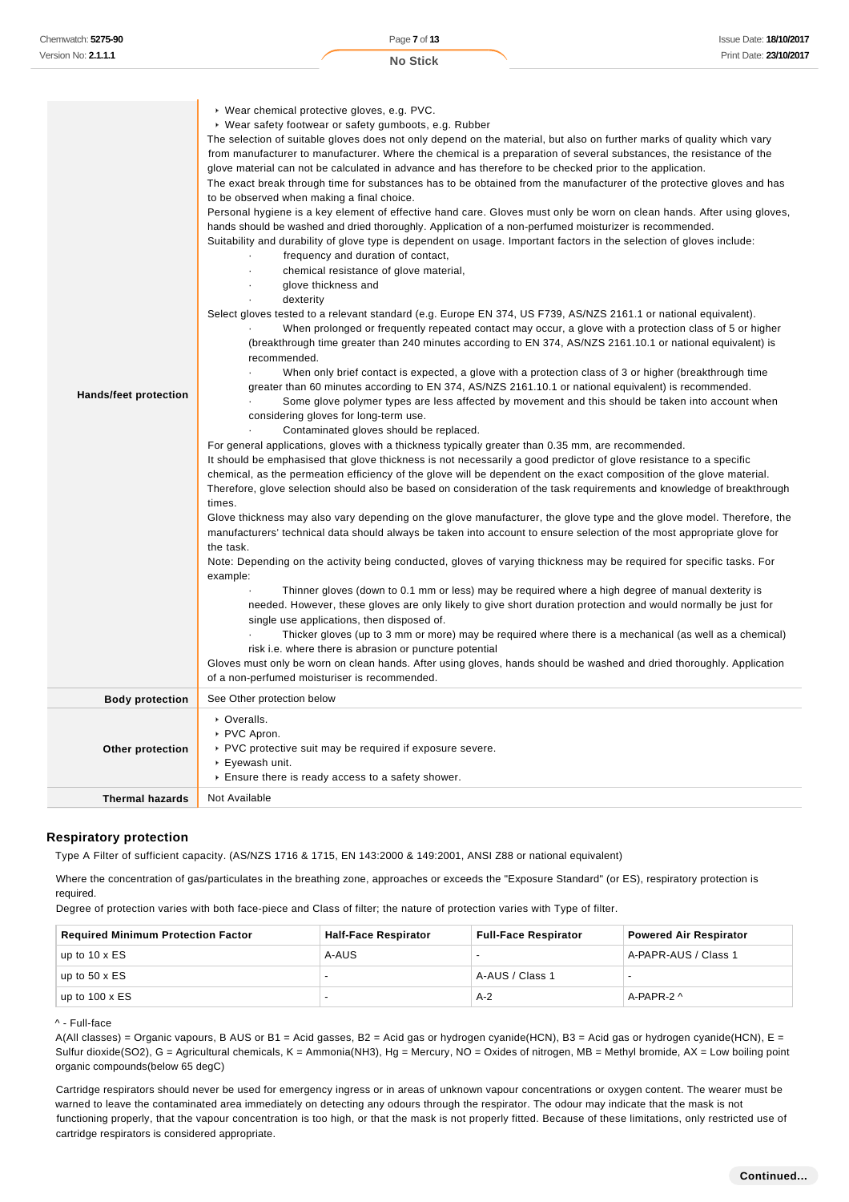| <b>Hands/feet protection</b> | ▶ Wear chemical protective gloves, e.g. PVC.<br>▶ Wear safety footwear or safety gumboots, e.g. Rubber<br>The selection of suitable gloves does not only depend on the material, but also on further marks of quality which vary<br>from manufacturer to manufacturer. Where the chemical is a preparation of several substances, the resistance of the<br>glove material can not be calculated in advance and has therefore to be checked prior to the application.<br>The exact break through time for substances has to be obtained from the manufacturer of the protective gloves and has<br>to be observed when making a final choice.<br>Personal hygiene is a key element of effective hand care. Gloves must only be worn on clean hands. After using gloves,<br>hands should be washed and dried thoroughly. Application of a non-perfumed moisturizer is recommended.<br>Suitability and durability of glove type is dependent on usage. Important factors in the selection of gloves include:<br>frequency and duration of contact,<br>chemical resistance of glove material,<br>glove thickness and<br>dexterity<br>Select gloves tested to a relevant standard (e.g. Europe EN 374, US F739, AS/NZS 2161.1 or national equivalent).<br>When prolonged or frequently repeated contact may occur, a glove with a protection class of 5 or higher<br>(breakthrough time greater than 240 minutes according to EN 374, AS/NZS 2161.10.1 or national equivalent) is<br>recommended.<br>When only brief contact is expected, a glove with a protection class of 3 or higher (breakthrough time<br>greater than 60 minutes according to EN 374, AS/NZS 2161.10.1 or national equivalent) is recommended.<br>Some glove polymer types are less affected by movement and this should be taken into account when<br>considering gloves for long-term use.<br>Contaminated gloves should be replaced.<br>For general applications, gloves with a thickness typically greater than 0.35 mm, are recommended.<br>It should be emphasised that glove thickness is not necessarily a good predictor of glove resistance to a specific<br>chemical, as the permeation efficiency of the glove will be dependent on the exact composition of the glove material.<br>Therefore, glove selection should also be based on consideration of the task requirements and knowledge of breakthrough<br>times.<br>Glove thickness may also vary depending on the glove manufacturer, the glove type and the glove model. Therefore, the<br>manufacturers' technical data should always be taken into account to ensure selection of the most appropriate glove for<br>the task.<br>Note: Depending on the activity being conducted, gloves of varying thickness may be required for specific tasks. For<br>example:<br>Thinner gloves (down to 0.1 mm or less) may be required where a high degree of manual dexterity is<br>needed. However, these gloves are only likely to give short duration protection and would normally be just for<br>single use applications, then disposed of. |
|------------------------------|------------------------------------------------------------------------------------------------------------------------------------------------------------------------------------------------------------------------------------------------------------------------------------------------------------------------------------------------------------------------------------------------------------------------------------------------------------------------------------------------------------------------------------------------------------------------------------------------------------------------------------------------------------------------------------------------------------------------------------------------------------------------------------------------------------------------------------------------------------------------------------------------------------------------------------------------------------------------------------------------------------------------------------------------------------------------------------------------------------------------------------------------------------------------------------------------------------------------------------------------------------------------------------------------------------------------------------------------------------------------------------------------------------------------------------------------------------------------------------------------------------------------------------------------------------------------------------------------------------------------------------------------------------------------------------------------------------------------------------------------------------------------------------------------------------------------------------------------------------------------------------------------------------------------------------------------------------------------------------------------------------------------------------------------------------------------------------------------------------------------------------------------------------------------------------------------------------------------------------------------------------------------------------------------------------------------------------------------------------------------------------------------------------------------------------------------------------------------------------------------------------------------------------------------------------------------------------------------------------------------------------------------------------------------------------------------------------------------------------------------------------------------------------------------------------------------------------------------------------------------------------------------------------------------------------------------------------------------------------------------------------------------------------------------------------------------------|
|                              | Thicker gloves (up to 3 mm or more) may be required where there is a mechanical (as well as a chemical)<br>risk i.e. where there is abrasion or puncture potential<br>Gloves must only be worn on clean hands. After using gloves, hands should be washed and dried thoroughly. Application<br>of a non-perfumed moisturiser is recommended.                                                                                                                                                                                                                                                                                                                                                                                                                                                                                                                                                                                                                                                                                                                                                                                                                                                                                                                                                                                                                                                                                                                                                                                                                                                                                                                                                                                                                                                                                                                                                                                                                                                                                                                                                                                                                                                                                                                                                                                                                                                                                                                                                                                                                                                                                                                                                                                                                                                                                                                                                                                                                                                                                                                                 |
| <b>Body protection</b>       | See Other protection below                                                                                                                                                                                                                                                                                                                                                                                                                                                                                                                                                                                                                                                                                                                                                                                                                                                                                                                                                                                                                                                                                                                                                                                                                                                                                                                                                                                                                                                                                                                                                                                                                                                                                                                                                                                                                                                                                                                                                                                                                                                                                                                                                                                                                                                                                                                                                                                                                                                                                                                                                                                                                                                                                                                                                                                                                                                                                                                                                                                                                                                   |
|                              | • Overalls.                                                                                                                                                                                                                                                                                                                                                                                                                                                                                                                                                                                                                                                                                                                                                                                                                                                                                                                                                                                                                                                                                                                                                                                                                                                                                                                                                                                                                                                                                                                                                                                                                                                                                                                                                                                                                                                                                                                                                                                                                                                                                                                                                                                                                                                                                                                                                                                                                                                                                                                                                                                                                                                                                                                                                                                                                                                                                                                                                                                                                                                                  |
| Other protection             | ▶ PVC Apron.<br>PVC protective suit may be required if exposure severe.<br>▶ Eyewash unit.<br>Ensure there is ready access to a safety shower.                                                                                                                                                                                                                                                                                                                                                                                                                                                                                                                                                                                                                                                                                                                                                                                                                                                                                                                                                                                                                                                                                                                                                                                                                                                                                                                                                                                                                                                                                                                                                                                                                                                                                                                                                                                                                                                                                                                                                                                                                                                                                                                                                                                                                                                                                                                                                                                                                                                                                                                                                                                                                                                                                                                                                                                                                                                                                                                               |
| <b>Thermal hazards</b>       | Not Available                                                                                                                                                                                                                                                                                                                                                                                                                                                                                                                                                                                                                                                                                                                                                                                                                                                                                                                                                                                                                                                                                                                                                                                                                                                                                                                                                                                                                                                                                                                                                                                                                                                                                                                                                                                                                                                                                                                                                                                                                                                                                                                                                                                                                                                                                                                                                                                                                                                                                                                                                                                                                                                                                                                                                                                                                                                                                                                                                                                                                                                                |

#### **Respiratory protection**

Type A Filter of sufficient capacity. (AS/NZS 1716 & 1715, EN 143:2000 & 149:2001, ANSI Z88 or national equivalent)

Where the concentration of gas/particulates in the breathing zone, approaches or exceeds the "Exposure Standard" (or ES), respiratory protection is required.

Degree of protection varies with both face-piece and Class of filter; the nature of protection varies with Type of filter.

| <b>Required Minimum Protection Factor</b> | <b>Half-Face Respirator</b><br><b>Full-Face Respirator</b> |                 | <b>Powered Air Respirator</b> |  |
|-------------------------------------------|------------------------------------------------------------|-----------------|-------------------------------|--|
| up to 10 x ES                             | A-AUS                                                      |                 | A-PAPR-AUS / Class 1          |  |
| up to $50 \times ES$                      |                                                            | A-AUS / Class 1 |                               |  |
| up to $100 \times ES$                     |                                                            | $A-2$           | A-PAPR-2 ^                    |  |

#### ^ - Full-face

A(All classes) = Organic vapours, B AUS or B1 = Acid gasses, B2 = Acid gas or hydrogen cyanide(HCN), B3 = Acid gas or hydrogen cyanide(HCN), E = Sulfur dioxide(SO2), G = Agricultural chemicals, K = Ammonia(NH3), Hg = Mercury, NO = Oxides of nitrogen, MB = Methyl bromide, AX = Low boiling point organic compounds(below 65 degC)

Cartridge respirators should never be used for emergency ingress or in areas of unknown vapour concentrations or oxygen content. The wearer must be warned to leave the contaminated area immediately on detecting any odours through the respirator. The odour may indicate that the mask is not functioning properly, that the vapour concentration is too high, or that the mask is not properly fitted. Because of these limitations, only restricted use of cartridge respirators is considered appropriate.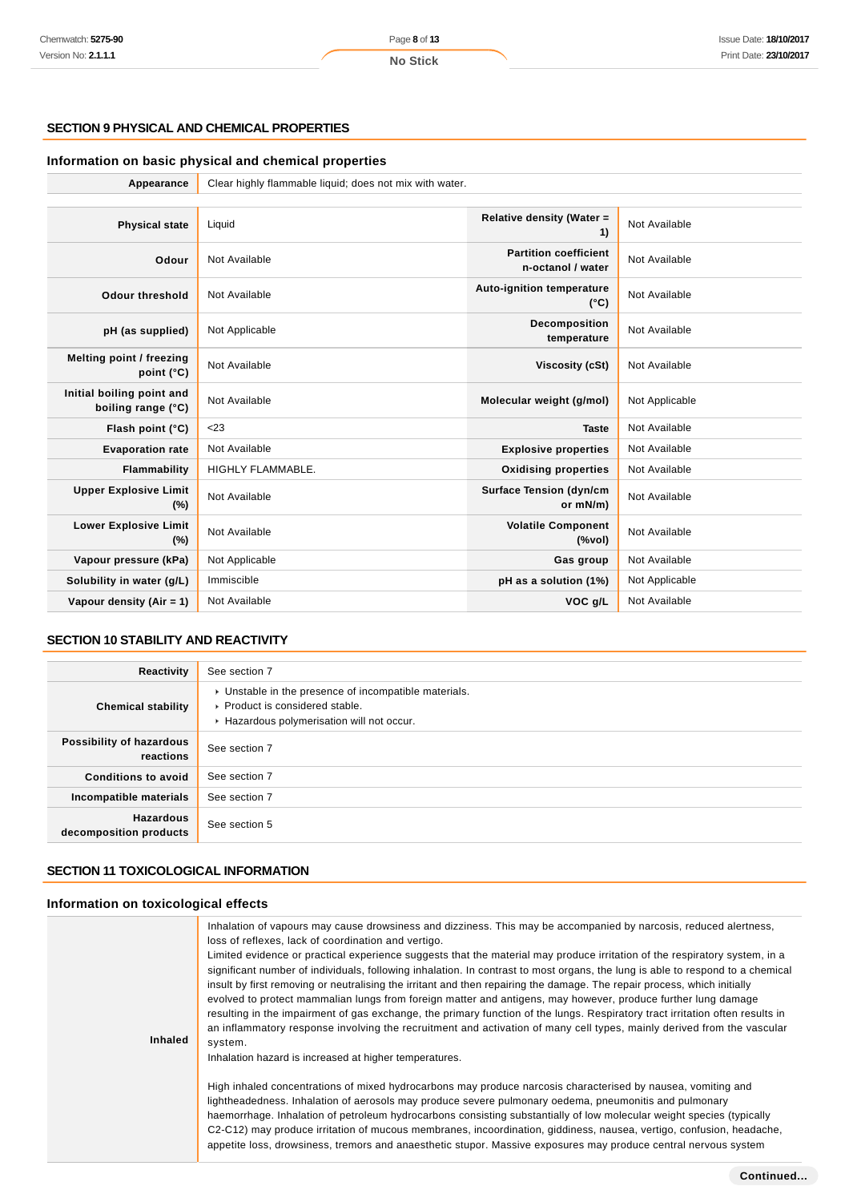#### **SECTION 9 PHYSICAL AND CHEMICAL PROPERTIES**

# **Information on basic physical and chemical properties**

| Appearance                                      | Clear highly flammable liquid; does not mix with water. |                                                   |                |  |
|-------------------------------------------------|---------------------------------------------------------|---------------------------------------------------|----------------|--|
|                                                 |                                                         |                                                   |                |  |
| <b>Physical state</b>                           | Liquid                                                  | Relative density (Water =<br>1)                   | Not Available  |  |
| Odour                                           | Not Available                                           | <b>Partition coefficient</b><br>n-octanol / water | Not Available  |  |
| <b>Odour threshold</b>                          | Not Available                                           | <b>Auto-ignition temperature</b><br>$(^{\circ}C)$ | Not Available  |  |
| pH (as supplied)                                | Not Applicable                                          | Decomposition<br>temperature                      | Not Available  |  |
| Melting point / freezing<br>point $(^{\circ}C)$ | Not Available                                           | Viscosity (cSt)                                   | Not Available  |  |
| Initial boiling point and<br>boiling range (°C) | Not Available                                           | Molecular weight (g/mol)                          | Not Applicable |  |
| Flash point (°C)                                | $<$ 23                                                  | <b>Taste</b>                                      | Not Available  |  |
| <b>Evaporation rate</b>                         | Not Available                                           | <b>Explosive properties</b>                       | Not Available  |  |
| Flammability                                    | <b>HIGHLY FLAMMABLE.</b>                                | <b>Oxidising properties</b>                       | Not Available  |  |
| <b>Upper Explosive Limit</b><br>(%)             | Not Available                                           | <b>Surface Tension (dyn/cm</b><br>or mN/m)        | Not Available  |  |
| <b>Lower Explosive Limit</b><br>(%)             | Not Available                                           | <b>Volatile Component</b><br>(%vol)               | Not Available  |  |
| Vapour pressure (kPa)                           | Not Applicable                                          | Gas group                                         | Not Available  |  |
| Solubility in water (g/L)                       | Immiscible                                              | pH as a solution (1%)                             | Not Applicable |  |
| Vapour density $(Air = 1)$                      | Not Available                                           | VOC g/L                                           | Not Available  |  |

# **SECTION 10 STABILITY AND REACTIVITY**

| Reactivity                                 | See section 7                                                                                                                        |
|--------------------------------------------|--------------------------------------------------------------------------------------------------------------------------------------|
| <b>Chemical stability</b>                  | • Unstable in the presence of incompatible materials.<br>▶ Product is considered stable.<br>Hazardous polymerisation will not occur. |
| Possibility of hazardous<br>reactions      | See section 7                                                                                                                        |
| <b>Conditions to avoid</b>                 | See section 7                                                                                                                        |
| Incompatible materials                     | See section 7                                                                                                                        |
| <b>Hazardous</b><br>decomposition products | See section 5                                                                                                                        |

# **SECTION 11 TOXICOLOGICAL INFORMATION**

## **Information on toxicological effects**

| <b>Inhaled</b> | Inhalation of vapours may cause drowsiness and dizziness. This may be accompanied by narcosis, reduced alertness,<br>loss of reflexes, lack of coordination and vertigo.<br>Limited evidence or practical experience suggests that the material may produce irritation of the respiratory system, in a<br>significant number of individuals, following inhalation. In contrast to most organs, the lung is able to respond to a chemical<br>insult by first removing or neutralising the irritant and then repairing the damage. The repair process, which initially<br>evolved to protect mammalian lungs from foreign matter and antigens, may however, produce further lung damage<br>resulting in the impairment of gas exchange, the primary function of the lungs. Respiratory tract irritation often results in<br>an inflammatory response involving the recruitment and activation of many cell types, mainly derived from the vascular<br>system.<br>Inhalation hazard is increased at higher temperatures. |
|----------------|-----------------------------------------------------------------------------------------------------------------------------------------------------------------------------------------------------------------------------------------------------------------------------------------------------------------------------------------------------------------------------------------------------------------------------------------------------------------------------------------------------------------------------------------------------------------------------------------------------------------------------------------------------------------------------------------------------------------------------------------------------------------------------------------------------------------------------------------------------------------------------------------------------------------------------------------------------------------------------------------------------------------------|
|                | High inhaled concentrations of mixed hydrocarbons may produce narcosis characterised by nausea, vomiting and<br>lightheadedness. Inhalation of aerosols may produce severe pulmonary oedema, pneumonitis and pulmonary<br>haemorrhage. Inhalation of petroleum hydrocarbons consisting substantially of low molecular weight species (typically<br>C2-C12) may produce irritation of mucous membranes, incoordination, giddiness, nausea, vertigo, confusion, headache,<br>appetite loss, drowsiness, tremors and anaesthetic stupor. Massive exposures may produce central nervous system                                                                                                                                                                                                                                                                                                                                                                                                                            |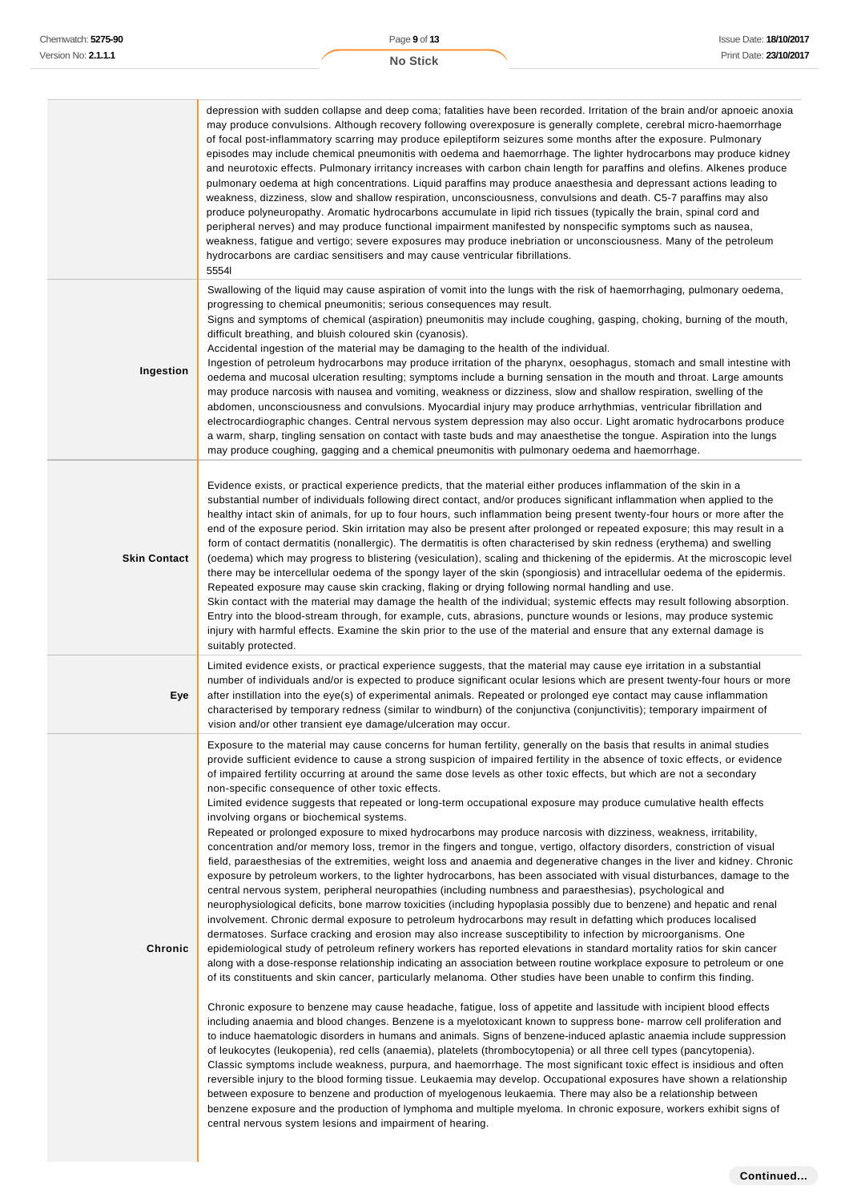|                     | depression with sudden collapse and deep coma; fatalities have been recorded. Irritation of the brain and/or apnoeic anoxia<br>may produce convulsions. Although recovery following overexposure is generally complete, cerebral micro-haemorrhage<br>of focal post-inflammatory scarring may produce epileptiform seizures some months after the exposure. Pulmonary<br>episodes may include chemical pneumonitis with oedema and haemorrhage. The lighter hydrocarbons may produce kidney<br>and neurotoxic effects. Pulmonary irritancy increases with carbon chain length for paraffins and olefins. Alkenes produce<br>pulmonary oedema at high concentrations. Liquid paraffins may produce anaesthesia and depressant actions leading to<br>weakness, dizziness, slow and shallow respiration, unconsciousness, convulsions and death. C5-7 paraffins may also<br>produce polyneuropathy. Aromatic hydrocarbons accumulate in lipid rich tissues (typically the brain, spinal cord and<br>peripheral nerves) and may produce functional impairment manifested by nonspecific symptoms such as nausea,<br>weakness, fatigue and vertigo; severe exposures may produce inebriation or unconsciousness. Many of the petroleum<br>hydrocarbons are cardiac sensitisers and may cause ventricular fibrillations.<br>5554l                                                                                                                                                                                                                                                                                                                                                                                                                                                                                                                                                                                                                                                                                                                                                                                                                                                                                                                                                                                                                                                                                                                                                                                                                                                                                                                                                                                                                                                                                                                                                                                                                                                                                                       |
|---------------------|-----------------------------------------------------------------------------------------------------------------------------------------------------------------------------------------------------------------------------------------------------------------------------------------------------------------------------------------------------------------------------------------------------------------------------------------------------------------------------------------------------------------------------------------------------------------------------------------------------------------------------------------------------------------------------------------------------------------------------------------------------------------------------------------------------------------------------------------------------------------------------------------------------------------------------------------------------------------------------------------------------------------------------------------------------------------------------------------------------------------------------------------------------------------------------------------------------------------------------------------------------------------------------------------------------------------------------------------------------------------------------------------------------------------------------------------------------------------------------------------------------------------------------------------------------------------------------------------------------------------------------------------------------------------------------------------------------------------------------------------------------------------------------------------------------------------------------------------------------------------------------------------------------------------------------------------------------------------------------------------------------------------------------------------------------------------------------------------------------------------------------------------------------------------------------------------------------------------------------------------------------------------------------------------------------------------------------------------------------------------------------------------------------------------------------------------------------------------------------------------------------------------------------------------------------------------------------------------------------------------------------------------------------------------------------------------------------------------------------------------------------------------------------------------------------------------------------------------------------------------------------------------------------------------------------------------------------------------------------------------------------------------------------------|
| Ingestion           | Swallowing of the liquid may cause aspiration of vomit into the lungs with the risk of haemorrhaging, pulmonary oedema,<br>progressing to chemical pneumonitis; serious consequences may result.<br>Signs and symptoms of chemical (aspiration) pneumonitis may include coughing, gasping, choking, burning of the mouth,<br>difficult breathing, and bluish coloured skin (cyanosis).<br>Accidental ingestion of the material may be damaging to the health of the individual.<br>Ingestion of petroleum hydrocarbons may produce irritation of the pharynx, oesophagus, stomach and small intestine with<br>oedema and mucosal ulceration resulting; symptoms include a burning sensation in the mouth and throat. Large amounts<br>may produce narcosis with nausea and vomiting, weakness or dizziness, slow and shallow respiration, swelling of the<br>abdomen, unconsciousness and convulsions. Myocardial injury may produce arrhythmias, ventricular fibrillation and<br>electrocardiographic changes. Central nervous system depression may also occur. Light aromatic hydrocarbons produce<br>a warm, sharp, tingling sensation on contact with taste buds and may anaesthetise the tongue. Aspiration into the lungs<br>may produce coughing, gagging and a chemical pneumonitis with pulmonary oedema and haemorrhage.                                                                                                                                                                                                                                                                                                                                                                                                                                                                                                                                                                                                                                                                                                                                                                                                                                                                                                                                                                                                                                                                                                                                                                                                                                                                                                                                                                                                                                                                                                                                                                                                                                                                                               |
| <b>Skin Contact</b> | Evidence exists, or practical experience predicts, that the material either produces inflammation of the skin in a<br>substantial number of individuals following direct contact, and/or produces significant inflammation when applied to the<br>healthy intact skin of animals, for up to four hours, such inflammation being present twenty-four hours or more after the<br>end of the exposure period. Skin irritation may also be present after prolonged or repeated exposure; this may result in a<br>form of contact dermatitis (nonallergic). The dermatitis is often characterised by skin redness (erythema) and swelling<br>(oedema) which may progress to blistering (vesiculation), scaling and thickening of the epidermis. At the microscopic level<br>there may be intercellular oedema of the spongy layer of the skin (spongiosis) and intracellular oedema of the epidermis.<br>Repeated exposure may cause skin cracking, flaking or drying following normal handling and use.<br>Skin contact with the material may damage the health of the individual; systemic effects may result following absorption.<br>Entry into the blood-stream through, for example, cuts, abrasions, puncture wounds or lesions, may produce systemic<br>injury with harmful effects. Examine the skin prior to the use of the material and ensure that any external damage is<br>suitably protected.                                                                                                                                                                                                                                                                                                                                                                                                                                                                                                                                                                                                                                                                                                                                                                                                                                                                                                                                                                                                                                                                                                                                                                                                                                                                                                                                                                                                                                                                                                                                                                                                                           |
| Eye                 | Limited evidence exists, or practical experience suggests, that the material may cause eye irritation in a substantial<br>number of individuals and/or is expected to produce significant ocular lesions which are present twenty-four hours or more<br>after instillation into the eye(s) of experimental animals. Repeated or prolonged eye contact may cause inflammation<br>characterised by temporary redness (similar to windburn) of the conjunctiva (conjunctivitis); temporary impairment of<br>vision and/or other transient eye damage/ulceration may occur.                                                                                                                                                                                                                                                                                                                                                                                                                                                                                                                                                                                                                                                                                                                                                                                                                                                                                                                                                                                                                                                                                                                                                                                                                                                                                                                                                                                                                                                                                                                                                                                                                                                                                                                                                                                                                                                                                                                                                                                                                                                                                                                                                                                                                                                                                                                                                                                                                                                           |
| Chronic             | Exposure to the material may cause concerns for human fertility, generally on the basis that results in animal studies<br>provide sufficient evidence to cause a strong suspicion of impaired fertility in the absence of toxic effects, or evidence<br>of impaired fertility occurring at around the same dose levels as other toxic effects, but which are not a secondary<br>non-specific consequence of other toxic effects.<br>Limited evidence suggests that repeated or long-term occupational exposure may produce cumulative health effects<br>involving organs or biochemical systems.<br>Repeated or prolonged exposure to mixed hydrocarbons may produce narcosis with dizziness, weakness, irritability,<br>concentration and/or memory loss, tremor in the fingers and tongue, vertigo, olfactory disorders, constriction of visual<br>field, paraesthesias of the extremities, weight loss and anaemia and degenerative changes in the liver and kidney. Chronic<br>exposure by petroleum workers, to the lighter hydrocarbons, has been associated with visual disturbances, damage to the<br>central nervous system, peripheral neuropathies (including numbness and paraesthesias), psychological and<br>neurophysiological deficits, bone marrow toxicities (including hypoplasia possibly due to benzene) and hepatic and renal<br>involvement. Chronic dermal exposure to petroleum hydrocarbons may result in defatting which produces localised<br>dermatoses. Surface cracking and erosion may also increase susceptibility to infection by microorganisms. One<br>epidemiological study of petroleum refinery workers has reported elevations in standard mortality ratios for skin cancer<br>along with a dose-response relationship indicating an association between routine workplace exposure to petroleum or one<br>of its constituents and skin cancer, particularly melanoma. Other studies have been unable to confirm this finding.<br>Chronic exposure to benzene may cause headache, fatigue, loss of appetite and lassitude with incipient blood effects<br>including anaemia and blood changes. Benzene is a myelotoxicant known to suppress bone- marrow cell proliferation and<br>to induce haematologic disorders in humans and animals. Signs of benzene-induced aplastic anaemia include suppression<br>of leukocytes (leukopenia), red cells (anaemia), platelets (thrombocytopenia) or all three cell types (pancytopenia).<br>Classic symptoms include weakness, purpura, and haemorrhage. The most significant toxic effect is insidious and often<br>reversible injury to the blood forming tissue. Leukaemia may develop. Occupational exposures have shown a relationship<br>between exposure to benzene and production of myelogenous leukaemia. There may also be a relationship between<br>benzene exposure and the production of lymphoma and multiple myeloma. In chronic exposure, workers exhibit signs of<br>central nervous system lesions and impairment of hearing. |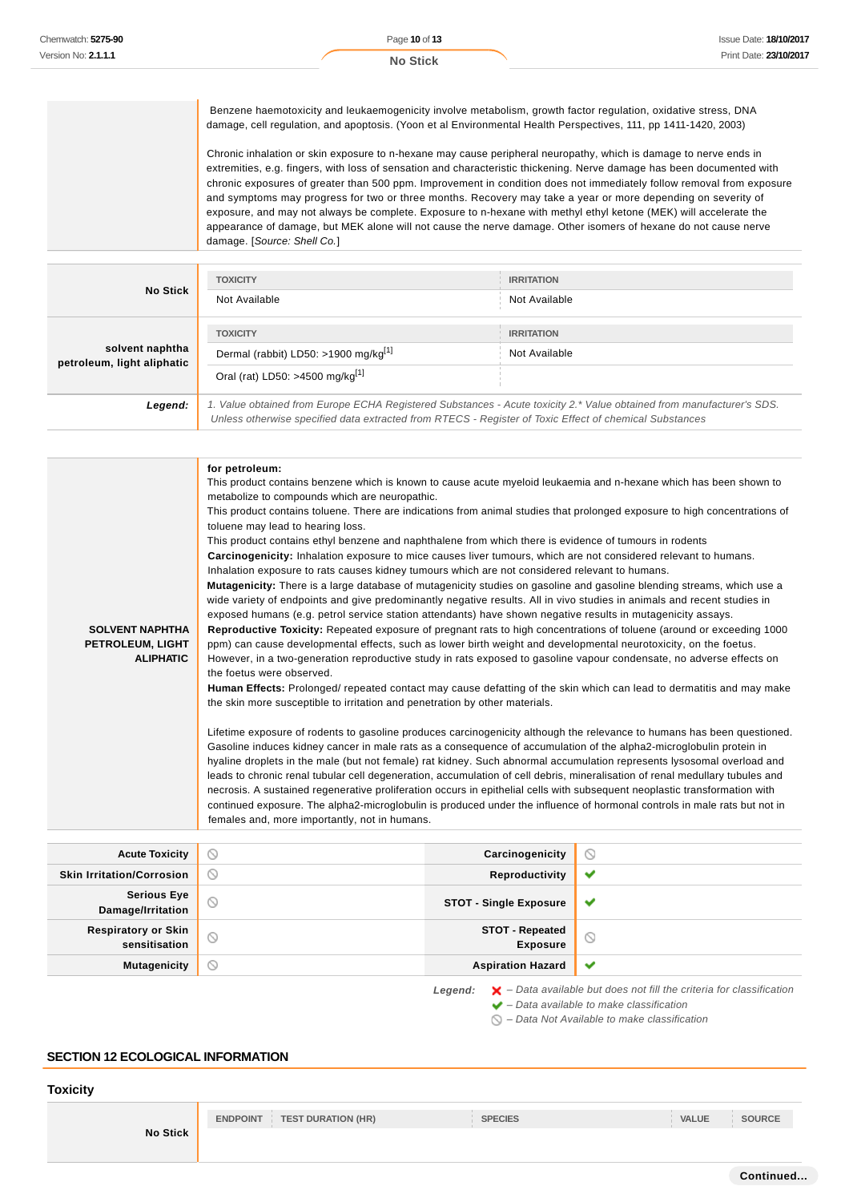Benzene haemotoxicity and leukaemogenicity involve metabolism, growth factor regulation, oxidative stress, DNA damage, cell regulation, and apoptosis. (Yoon et al Environmental Health Perspectives, 111, pp 1411-1420, 2003)

Chronic inhalation or skin exposure to n-hexane may cause peripheral neuropathy, which is damage to nerve ends in extremities, e.g. fingers, with loss of sensation and characteristic thickening. Nerve damage has been documented with chronic exposures of greater than 500 ppm. Improvement in condition does not immediately follow removal from exposure and symptoms may progress for two or three months. Recovery may take a year or more depending on severity of exposure, and may not always be complete. Exposure to n-hexane with methyl ethyl ketone (MEK) will accelerate the appearance of damage, but MEK alone will not cause the nerve damage. Other isomers of hexane do not cause nerve damage. [Source: Shell Co.]

| <b>No Stick</b>                               | <b>TOXICITY</b><br>Not Available                                                                                                                                                                                                | <b>IRRITATION</b><br>Not Available |  |
|-----------------------------------------------|---------------------------------------------------------------------------------------------------------------------------------------------------------------------------------------------------------------------------------|------------------------------------|--|
| solvent naphtha<br>petroleum, light aliphatic | <b>TOXICITY</b><br>Dermal (rabbit) LD50: >1900 mg/kg <sup>[1]</sup><br>Oral (rat) LD50: >4500 mg/kg <sup>[1]</sup>                                                                                                              | <b>IRRITATION</b><br>Not Available |  |
| Legend:                                       | 1. Value obtained from Europe ECHA Registered Substances - Acute toxicity 2.* Value obtained from manufacturer's SDS.<br>Unless otherwise specified data extracted from RTECS - Register of Toxic Effect of chemical Substances |                                    |  |

| <b>SOLVENT NAPHTHA</b><br><b>PETROLEUM, LIGHT</b><br><b>ALIPHATIC</b> | for petroleum:<br>This product contains benzene which is known to cause acute myeloid leukaemia and n-hexane which has been shown to<br>metabolize to compounds which are neuropathic.<br>This product contains toluene. There are indications from animal studies that prolonged exposure to high concentrations of<br>toluene may lead to hearing loss.<br>This product contains ethyl benzene and naphthalene from which there is evidence of tumours in rodents<br>Carcinogenicity: Inhalation exposure to mice causes liver tumours, which are not considered relevant to humans.<br>Inhalation exposure to rats causes kidney tumours which are not considered relevant to humans.<br>Mutagenicity: There is a large database of mutagenicity studies on gasoline and gasoline blending streams, which use a<br>wide variety of endpoints and give predominantly negative results. All in vivo studies in animals and recent studies in<br>exposed humans (e.g. petrol service station attendants) have shown negative results in mutagenicity assays.<br>Reproductive Toxicity: Repeated exposure of pregnant rats to high concentrations of toluene (around or exceeding 1000<br>ppm) can cause developmental effects, such as lower birth weight and developmental neurotoxicity, on the foetus.<br>However, in a two-generation reproductive study in rats exposed to gasoline vapour condensate, no adverse effects on<br>the foetus were observed.<br>Human Effects: Prolonged/ repeated contact may cause defatting of the skin which can lead to dermatitis and may make<br>the skin more susceptible to irritation and penetration by other materials.<br>Lifetime exposure of rodents to gasoline produces carcinogenicity although the relevance to humans has been questioned.<br>Gasoline induces kidney cancer in male rats as a consequence of accumulation of the alpha2-microglobulin protein in<br>hyaline droplets in the male (but not female) rat kidney. Such abnormal accumulation represents lysosomal overload and<br>leads to chronic renal tubular cell degeneration, accumulation of cell debris, mineralisation of renal medullary tubules and<br>necrosis. A sustained regenerative proliferation occurs in epithelial cells with subsequent neoplastic transformation with<br>continued exposure. The alpha2-microglobulin is produced under the influence of hormonal controls in male rats but not in<br>females and, more importantly, not in humans. |
|-----------------------------------------------------------------------|-----------------------------------------------------------------------------------------------------------------------------------------------------------------------------------------------------------------------------------------------------------------------------------------------------------------------------------------------------------------------------------------------------------------------------------------------------------------------------------------------------------------------------------------------------------------------------------------------------------------------------------------------------------------------------------------------------------------------------------------------------------------------------------------------------------------------------------------------------------------------------------------------------------------------------------------------------------------------------------------------------------------------------------------------------------------------------------------------------------------------------------------------------------------------------------------------------------------------------------------------------------------------------------------------------------------------------------------------------------------------------------------------------------------------------------------------------------------------------------------------------------------------------------------------------------------------------------------------------------------------------------------------------------------------------------------------------------------------------------------------------------------------------------------------------------------------------------------------------------------------------------------------------------------------------------------------------------------------------------------------------------------------------------------------------------------------------------------------------------------------------------------------------------------------------------------------------------------------------------------------------------------------------------------------------------------------------------------------------------------------------------------------------------------------------------------------------------------------------------------------|
|                                                                       |                                                                                                                                                                                                                                                                                                                                                                                                                                                                                                                                                                                                                                                                                                                                                                                                                                                                                                                                                                                                                                                                                                                                                                                                                                                                                                                                                                                                                                                                                                                                                                                                                                                                                                                                                                                                                                                                                                                                                                                                                                                                                                                                                                                                                                                                                                                                                                                                                                                                                               |

| <b>Acute Toxicity</b>                       | $\circ$ | Carcinogenicity                    | $\circ$                                                         |
|---------------------------------------------|---------|------------------------------------|-----------------------------------------------------------------|
| <b>Skin Irritation/Corrosion</b>            | ∾       | Reproductivity                     | $\checkmark$                                                    |
| <b>Serious Eye</b><br>Damage/Irritation     | $\circ$ | <b>STOT - Single Exposure</b>      | $\checkmark$                                                    |
| <b>Respiratory or Skin</b><br>sensitisation | $\circ$ | STOT - Repeated<br><b>Exposure</b> | Ø                                                               |
| <b>Mutagenicity</b>                         | $\circ$ | <b>Aspiration Hazard</b>           | $\checkmark$                                                    |
|                                             |         | $\sim$<br>.                        | Data quailable but does not fill the exiteria for elegationtion |

Legend:  $\mathsf{X}$  - Data available but does not fill the criteria for classification

 $\blacktriangleright$  – Data available to make classification

 $\bigcirc$  – Data Not Available to make classification

## **SECTION 12 ECOLOGICAL INFORMATION**

## **Toxicity**

**No Stick**

**ENDPOINT TEST DURATION (HR) SPECIES VALUE SOURCE**

**Continued...**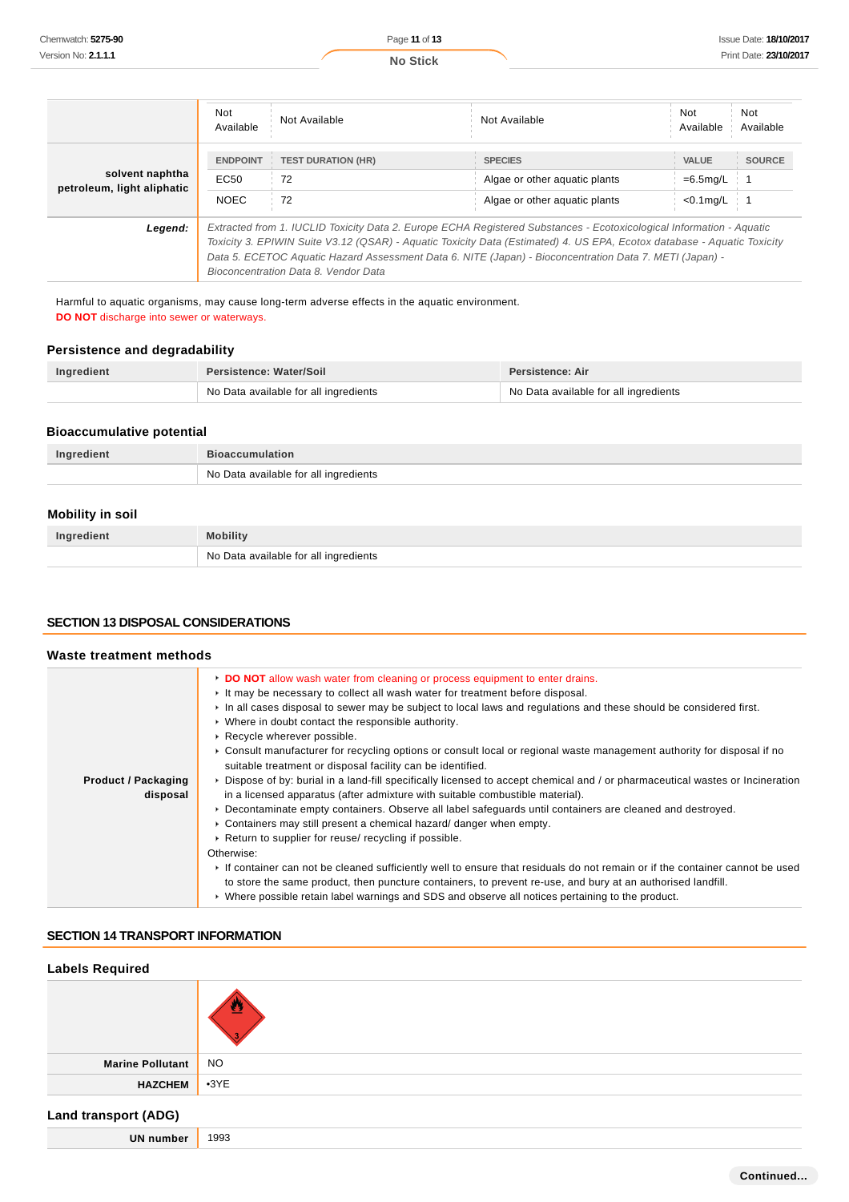|                                               | Not<br>Available                                                                                                                                                                                                                                                                                                                                                                                   | Not Available             | Not Available                 | Not<br>Available | Not<br>Available |
|-----------------------------------------------|----------------------------------------------------------------------------------------------------------------------------------------------------------------------------------------------------------------------------------------------------------------------------------------------------------------------------------------------------------------------------------------------------|---------------------------|-------------------------------|------------------|------------------|
|                                               | <b>ENDPOINT</b>                                                                                                                                                                                                                                                                                                                                                                                    | <b>TEST DURATION (HR)</b> | <b>SPECIES</b>                | VALUE            | <b>SOURCE</b>    |
| solvent naphtha<br>petroleum, light aliphatic | EC50                                                                                                                                                                                                                                                                                                                                                                                               | 72                        | Algae or other aguatic plants | $=6.5$ mg/L      |                  |
|                                               | <b>NOEC</b>                                                                                                                                                                                                                                                                                                                                                                                        | 72                        | Algae or other aguatic plants | $< 0.1$ mg/L     |                  |
| Legend:                                       | Extracted from 1. IUCLID Toxicity Data 2. Europe ECHA Registered Substances - Ecotoxicological Information - Aquatic<br>Toxicity 3. EPIWIN Suite V3.12 (QSAR) - Aquatic Toxicity Data (Estimated) 4. US EPA, Ecotox database - Aquatic Toxicity<br>Data 5. ECETOC Aquatic Hazard Assessment Data 6. NITE (Japan) - Bioconcentration Data 7. METI (Japan) -<br>Bioconcentration Data 8. Vendor Data |                           |                               |                  |                  |

Harmful to aquatic organisms, may cause long-term adverse effects in the aquatic environment. **DO NOT** discharge into sewer or waterways.

# **Persistence and degradability**

| Ingredient | <b>Persistence: Water/Soil</b>        | <b>Persistence: Air</b>               |  |
|------------|---------------------------------------|---------------------------------------|--|
|            | No Data available for all ingredients | No Data available for all ingredients |  |

#### **Bioaccumulative potential**

| No Data available for all ingredients<br>$ -$ |
|-----------------------------------------------|

# **Mobility in soil**

| rodion | hilit۱،                               |
|--------|---------------------------------------|
|        | No Data available for all ingredients |

## **SECTION 13 DISPOSAL CONSIDERATIONS**

#### **Waste treatment methods**

| <b>Product / Packaging</b><br>disposal | DO NOT allow wash water from cleaning or process equipment to enter drains.<br>It may be necessary to collect all wash water for treatment before disposal.<br>In all cases disposal to sewer may be subject to local laws and regulations and these should be considered first.<br>▶ Where in doubt contact the responsible authority.<br>Recycle wherever possible.<br>► Consult manufacturer for recycling options or consult local or regional waste management authority for disposal if no<br>suitable treatment or disposal facility can be identified.<br>▶ Dispose of by: burial in a land-fill specifically licensed to accept chemical and / or pharmaceutical wastes or Incineration<br>in a licensed apparatus (after admixture with suitable combustible material).<br>▶ Decontaminate empty containers. Observe all label safeguards until containers are cleaned and destroyed.<br>► Containers may still present a chemical hazard/ danger when empty.<br>▶ Return to supplier for reuse/ recycling if possible.<br>Otherwise:<br>If container can not be cleaned sufficiently well to ensure that residuals do not remain or if the container cannot be used |
|----------------------------------------|--------------------------------------------------------------------------------------------------------------------------------------------------------------------------------------------------------------------------------------------------------------------------------------------------------------------------------------------------------------------------------------------------------------------------------------------------------------------------------------------------------------------------------------------------------------------------------------------------------------------------------------------------------------------------------------------------------------------------------------------------------------------------------------------------------------------------------------------------------------------------------------------------------------------------------------------------------------------------------------------------------------------------------------------------------------------------------------------------------------------------------------------------------------------------------|
|                                        | to store the same product, then puncture containers, to prevent re-use, and bury at an authorised landfill.<br>► Where possible retain label warnings and SDS and observe all notices pertaining to the product.                                                                                                                                                                                                                                                                                                                                                                                                                                                                                                                                                                                                                                                                                                                                                                                                                                                                                                                                                               |

## **SECTION 14 TRANSPORT INFORMATION**

| <b>Labels Required</b>      |           |
|-----------------------------|-----------|
| Marine Pollutant            | <b>NO</b> |
| <b>HAZCHEM</b>              | $-3YE$    |
| <b>Land transport (ADG)</b> |           |

| ນນວ |  | UN | 0.00 |
|-----|--|----|------|
|-----|--|----|------|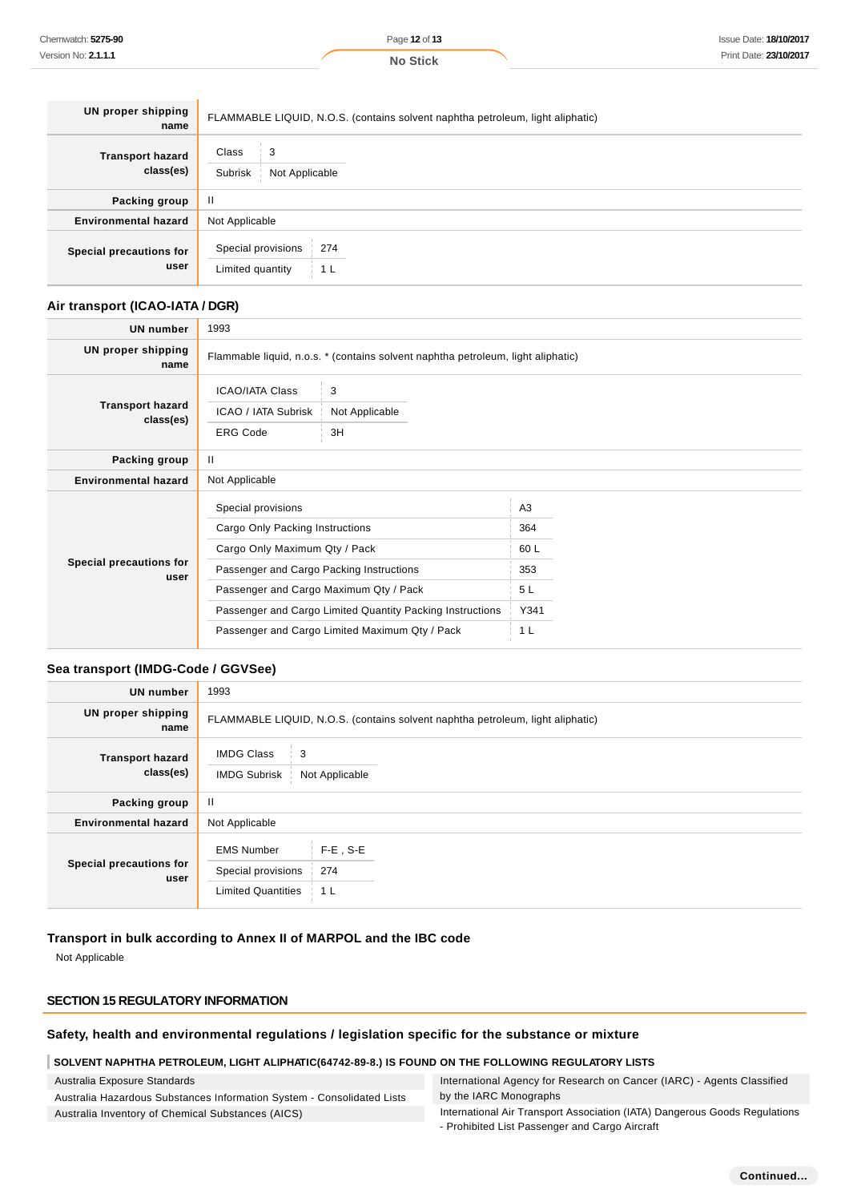Page **12** of **13**

| UN proper shipping<br>name           | FLAMMABLE LIQUID, N.O.S. (contains solvent naphtha petroleum, light aliphatic) |
|--------------------------------------|--------------------------------------------------------------------------------|
| <b>Transport hazard</b><br>class(es) | Class<br>$\mathbf{3}$<br>Subrisk<br>Not Applicable                             |
| Packing group                        | H                                                                              |
| <b>Environmental hazard</b>          | Not Applicable                                                                 |
| Special precautions for<br>user      | Special provisions<br>274<br>Limited quantity<br>1 L                           |

## **Air transport (ICAO-IATA / DGR)**

| <b>UN number</b>                     | 1993                                                                             |                           |                |  |  |
|--------------------------------------|----------------------------------------------------------------------------------|---------------------------|----------------|--|--|
| UN proper shipping<br>name           | Flammable liquid, n.o.s. * (contains solvent naphtha petroleum, light aliphatic) |                           |                |  |  |
| <b>Transport hazard</b><br>class(es) | <b>ICAO/IATA Class</b><br>ICAO / IATA Subrisk<br><b>ERG Code</b>                 | 3<br>Not Applicable<br>3H |                |  |  |
| Packing group                        | $\mathbf{H}$                                                                     |                           |                |  |  |
| <b>Environmental hazard</b>          | Not Applicable                                                                   |                           |                |  |  |
|                                      | Special provisions                                                               |                           | A <sub>3</sub> |  |  |
|                                      | Cargo Only Packing Instructions                                                  |                           | 364            |  |  |
|                                      | Cargo Only Maximum Qty / Pack                                                    |                           | 60 L           |  |  |
| Special precautions for<br>user      | Passenger and Cargo Packing Instructions                                         |                           | 353            |  |  |
|                                      | Passenger and Cargo Maximum Qty / Pack                                           |                           | 5 <sub>L</sub> |  |  |
|                                      | Passenger and Cargo Limited Quantity Packing Instructions                        |                           | Y341           |  |  |
|                                      | Passenger and Cargo Limited Maximum Qty / Pack                                   |                           | 1 L            |  |  |

## **Sea transport (IMDG-Code / GGVSee)**

| <b>UN number</b>                     | 1993                                                                                              |  |  |
|--------------------------------------|---------------------------------------------------------------------------------------------------|--|--|
| UN proper shipping<br>name           | FLAMMABLE LIQUID, N.O.S. (contains solvent naphtha petroleum, light aliphatic)                    |  |  |
| <b>Transport hazard</b><br>class(es) | <b>IMDG Class</b><br>3<br><b>IMDG Subrisk</b><br>Not Applicable                                   |  |  |
| Packing group                        | $\mathbf{H}$                                                                                      |  |  |
| <b>Environmental hazard</b>          | Not Applicable                                                                                    |  |  |
| Special precautions for<br>user      | <b>EMS Number</b><br>$F-E$ , S-E<br>Special provisions<br>274<br><b>Limited Quantities</b><br>1 L |  |  |

## **Transport in bulk according to Annex II of MARPOL and the IBC code**

Not Applicable

#### **SECTION 15 REGULATORY INFORMATION**

#### **Safety, health and environmental regulations / legislation specific for the substance or mixture**

#### **SOLVENT NAPHTHA PETROLEUM, LIGHT ALIPHATIC(64742-89-8.) IS FOUND ON THE FOLLOWING REGULATORY LISTS**

Australia Exposure Standards Australia Hazardous Substances Information System - Consolidated Lists Australia Inventory of Chemical Substances (AICS)

- International Agency for Research on Cancer (IARC) Agents Classified by the IARC Monographs
- International Air Transport Association (IATA) Dangerous Goods Regulations - Prohibited List Passenger and Cargo Aircraft